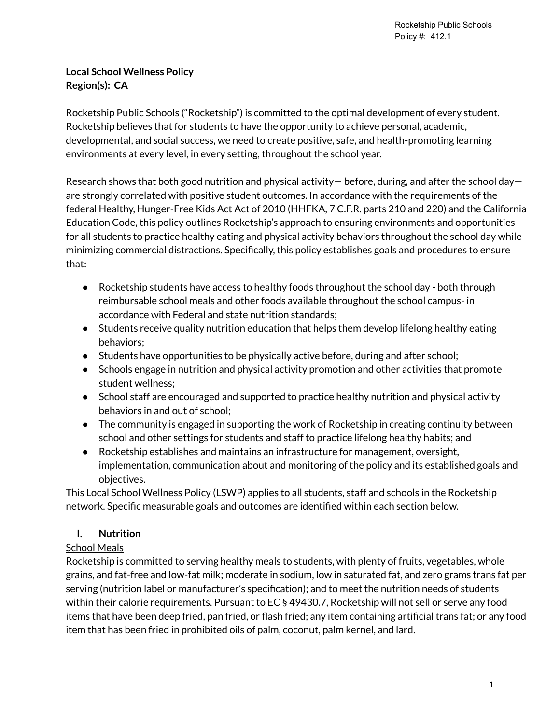## **Local School Wellness Policy Region(s): CA**

Rocketship Public Schools ("Rocketship") is committed to the optimal development of every student. Rocketship believes that for students to have the opportunity to achieve personal, academic, developmental, and social success, we need to create positive, safe, and health-promoting learning environments at every level, in every setting, throughout the school year.

Research shows that both good nutrition and physical activity— before, during, and after the school day are strongly correlated with positive student outcomes. In accordance with the requirements of the federal Healthy, Hunger-Free Kids Act Act of 2010 (HHFKA, 7 C.F.R. parts 210 and 220) and the California Education Code, this policy outlines Rocketship's approach to ensuring environments and opportunities for all students to practice healthy eating and physical activity behaviors throughout the school day while minimizing commercial distractions. Specifically, this policy establishes goals and procedures to ensure that:

- Rocketship students have access to healthy foods throughout the school day both through reimbursable school meals and other foods available throughout the school campus- in accordance with Federal and state nutrition standards;
- Students receive quality nutrition education that helps them develop lifelong healthy eating behaviors;
- Students have opportunities to be physically active before, during and after school;
- Schools engage in nutrition and physical activity promotion and other activities that promote student wellness;
- School staff are encouraged and supported to practice healthy nutrition and physical activity behaviors in and out of school;
- The community is engaged in supporting the work of Rocketship in creating continuity between school and other settings for students and staff to practice lifelong healthy habits; and
- Rocketship establishes and maintains an infrastructure for management, oversight, implementation, communication about and monitoring of the policy and its established goals and objectives.

This Local School Wellness Policy (LSWP) applies to all students, staff and schools in the Rocketship network. Specific measurable goals and outcomes are identified within each section below.

# **I. Nutrition**

## School Meals

Rocketship is committed to serving healthy meals to students, with plenty of fruits, vegetables, whole grains, and fat-free and low-fat milk; moderate in sodium, low in saturated fat, and zero grams trans fat per serving (nutrition label or manufacturer's specification); and to meet the nutrition needs of students within their calorie requirements. Pursuant to EC § 49430.7, Rocketship will not sell or serve any food items that have been deep fried, pan fried, or flash fried; any item containing artificial trans fat; or any food item that has been fried in prohibited oils of palm, coconut, palm kernel, and lard.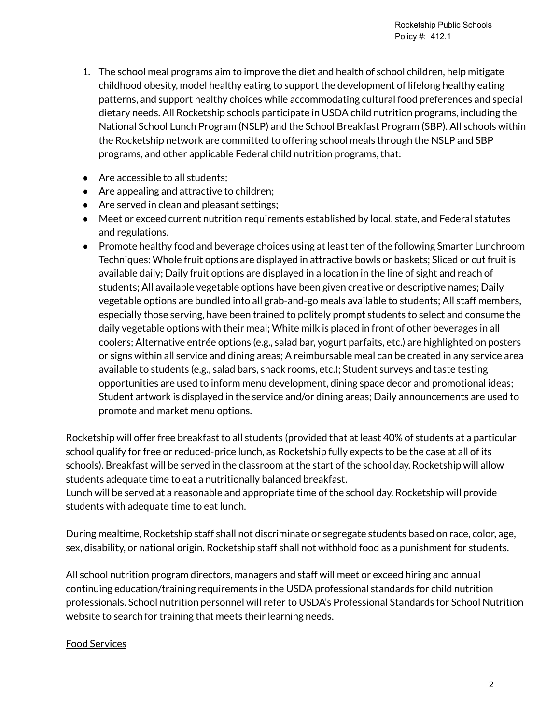- 1. The school meal programs aim to improve the diet and health of school children, help mitigate childhood obesity, model healthy eating to support the development of lifelong healthy eating patterns, and support healthy choices while accommodating cultural food preferences and special dietary needs. All Rocketship schools participate in USDA child nutrition programs, including the National School Lunch Program (NSLP) and the School Breakfast Program (SBP). All schools within the Rocketship network are committed to offering school meals through the NSLP and SBP programs, and other applicable Federal child nutrition programs, that:
- Are accessible to all students:
- Are appealing and attractive to children;
- Are served in clean and pleasant settings;
- Meet or exceed current nutrition requirements established by local, state, and Federal statutes and regulations.
- Promote healthy food and beverage choices using at least ten of the following Smarter Lunchroom Techniques: Whole fruit options are displayed in attractive bowls or baskets; Sliced or cut fruit is available daily; Daily fruit options are displayed in a location in the line of sight and reach of students; All available vegetable options have been given creative or descriptive names; Daily vegetable options are bundled into all grab-and-go meals available to students; All staff members, especially those serving, have been trained to politely prompt students to select and consume the daily vegetable options with their meal; White milk is placed in front of other beverages in all coolers; Alternative entrée options (e.g., salad bar, yogurt parfaits, etc.) are highlighted on posters or signs within all service and dining areas; A reimbursable meal can be created in any service area available to students (e.g., salad bars, snack rooms, etc.); Student surveys and taste testing opportunities are used to inform menu development, dining space decor and promotional ideas; Student artwork is displayed in the service and/or dining areas; Daily announcements are used to promote and market menu options.

Rocketship will offer free breakfast to all students (provided that at least 40% of students at a particular school qualify for free or reduced-price lunch, as Rocketship fully expects to be the case at all of its schools). Breakfast will be served in the classroom at the start of the school day. Rocketship will allow students adequate time to eat a nutritionally balanced breakfast.

Lunch will be served at a reasonable and appropriate time of the school day. Rocketship will provide students with adequate time to eat lunch.

During mealtime, Rocketship staff shall not discriminate or segregate students based on race, color, age, sex, disability, or national origin. Rocketship staff shall not withhold food as a punishment for students.

All school nutrition program directors, managers and staff will meet or exceed hiring and annual continuing education/training requirements in the USDA professional standards for child nutrition professionals. School nutrition personnel will refer to USDA's Professional Standards for School Nutrition website to search for training that meets their learning needs.

#### Food Services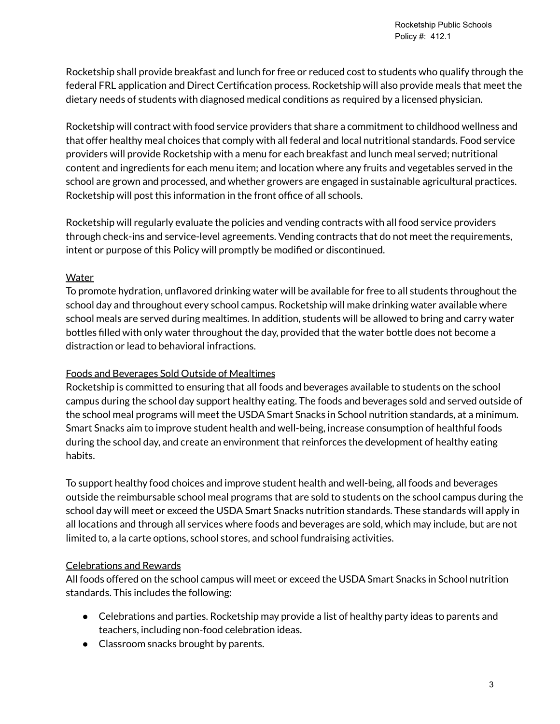Rocketship shall provide breakfast and lunch for free or reduced cost to students who qualify through the federal FRL application and Direct Certification process. Rocketship will also provide meals that meet the dietary needs of students with diagnosed medical conditions as required by a licensed physician.

Rocketship will contract with food service providers that share a commitment to childhood wellness and that offer healthy meal choices that comply with all federal and local nutritional standards. Food service providers will provide Rocketship with a menu for each breakfast and lunch meal served; nutritional content and ingredients for each menu item; and location where any fruits and vegetables served in the school are grown and processed, and whether growers are engaged in sustainable agricultural practices. Rocketship will post this information in the front office of all schools.

Rocketship will regularly evaluate the policies and vending contracts with all food service providers through check-ins and service-level agreements. Vending contracts that do not meet the requirements, intent or purpose of this Policy will promptly be modified or discontinued.

#### **Water**

To promote hydration, unflavored drinking water will be available for free to all students throughout the school day and throughout every school campus. Rocketship will make drinking water available where school meals are served during mealtimes. In addition, students will be allowed to bring and carry water bottles filled with only water throughout the day, provided that the water bottle does not become a distraction or lead to behavioral infractions.

## Foods and Beverages Sold Outside of Mealtimes

Rocketship is committed to ensuring that all foods and beverages available to students on the school campus during the school day support healthy eating. The foods and beverages sold and served outside of the school meal programs will meet the USDA Smart Snacks in School nutrition standards, at a minimum. Smart Snacks aim to improve student health and well-being, increase consumption of healthful foods during the school day, and create an environment that reinforces the development of healthy eating habits.

To support healthy food choices and improve student health and well-being, all foods and beverages outside the reimbursable school meal programs that are sold to students on the school campus during the school day will meet or exceed the USDA Smart Snacks nutrition standards. These standards will apply in all locations and through all services where foods and beverages are sold, which may include, but are not limited to, a la carte options, school stores, and school fundraising activities.

## Celebrations and Rewards

All foods offered on the school campus will meet or exceed the USDA Smart Snacks in School nutrition standards. This includes the following:

- Celebrations and parties. Rocketship may provide a list of healthy party ideas to parents and teachers, including non-food celebration ideas.
- Classroom snacks brought by parents.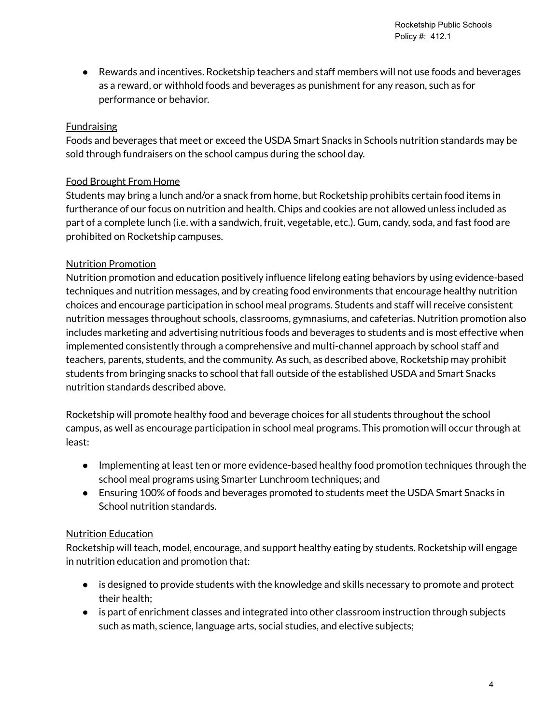Rocketship Public Schools Policy #: 412.1

● Rewards and incentives. Rocketship teachers and staff members will not use foods and beverages as a reward, or withhold foods and beverages as punishment for any reason, such as for performance or behavior.

#### Fundraising

Foods and beverages that meet or exceed the USDA Smart Snacks in Schools nutrition standards may be sold through fundraisers on the school campus during the school day.

#### Food Brought From Home

Students may bring a lunch and/or a snack from home, but Rocketship prohibits certain food items in furtherance of our focus on nutrition and health. Chips and cookies are not allowed unless included as part of a complete lunch (i.e. with a sandwich, fruit, vegetable, etc.). Gum, candy, soda, and fast food are prohibited on Rocketship campuses.

#### Nutrition Promotion

Nutrition promotion and education positively influence lifelong eating behaviors by using evidence-based techniques and nutrition messages, and by creating food environments that encourage healthy nutrition choices and encourage participation in school meal programs. Students and staff will receive consistent nutrition messages throughout schools, classrooms, gymnasiums, and cafeterias. Nutrition promotion also includes marketing and advertising nutritious foods and beverages to students and is most effective when implemented consistently through a comprehensive and multi-channel approach by school staff and teachers, parents, students, and the community. As such, as described above, Rocketship may prohibit students from bringing snacks to school that fall outside of the established USDA and Smart Snacks nutrition standards described above.

Rocketship will promote healthy food and beverage choices for all students throughout the school campus, as well as encourage participation in school meal programs. This promotion will occur through at least:

- Implementing at least ten or more evidence-based healthy food promotion techniques through the school meal programs using Smarter Lunchroom techniques; and
- Ensuring 100% of foods and beverages promoted to students meet the USDA Smart Snacks in School nutrition standards.

#### Nutrition Education

Rocketship will teach, model, encourage, and support healthy eating by students. Rocketship will engage in nutrition education and promotion that:

- is designed to provide students with the knowledge and skills necessary to promote and protect their health;
- is part of enrichment classes and integrated into other classroom instruction through subjects such as math, science, language arts, social studies, and elective subjects;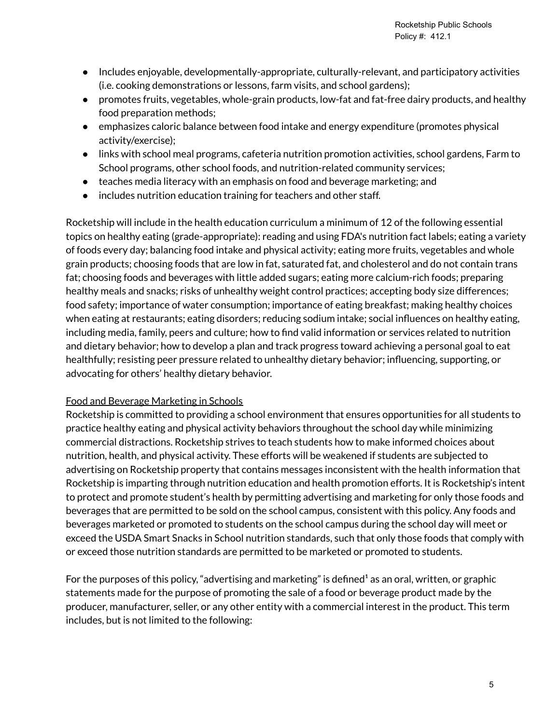- Includes enjoyable, developmentally-appropriate, culturally-relevant, and participatory activities (i.e. cooking demonstrations or lessons, farm visits, and school gardens);
- promotes fruits, vegetables, whole-grain products, low-fat and fat-free dairy products, and healthy food preparation methods;
- emphasizes caloric balance between food intake and energy expenditure (promotes physical activity/exercise);
- links with school meal programs, cafeteria nutrition promotion activities, school gardens, Farm to School programs, other school foods, and nutrition-related community services;
- teaches media literacy with an emphasis on food and beverage marketing; and
- includes nutrition education training for teachers and other staff.

Rocketship will include in the health education curriculum a minimum of 12 of the following essential topics on healthy eating (grade-appropriate): reading and using FDA's nutrition fact labels; eating a variety of foods every day; balancing food intake and physical activity; eating more fruits, vegetables and whole grain products; choosing foods that are low in fat, saturated fat, and cholesterol and do not contain trans fat; choosing foods and beverages with little added sugars; eating more calcium-rich foods; preparing healthy meals and snacks; risks of unhealthy weight control practices; accepting body size differences; food safety; importance of water consumption; importance of eating breakfast; making healthy choices when eating at restaurants; eating disorders; reducing sodium intake; social influences on healthy eating, including media, family, peers and culture; how to find valid information or services related to nutrition and dietary behavior; how to develop a plan and track progress toward achieving a personal goal to eat healthfully; resisting peer pressure related to unhealthy dietary behavior; influencing, supporting, or advocating for others' healthy dietary behavior.

#### Food and Beverage Marketing in Schools

Rocketship is committed to providing a school environment that ensures opportunities for all students to practice healthy eating and physical activity behaviors throughout the school day while minimizing commercial distractions. Rocketship strives to teach students how to make informed choices about nutrition, health, and physical activity. These efforts will be weakened if students are subjected to advertising on Rocketship property that contains messages inconsistent with the health information that Rocketship is imparting through nutrition education and health promotion efforts. It is Rocketship's intent to protect and promote student's health by permitting advertising and marketing for only those foods and beverages that are permitted to be sold on the school campus, consistent with this policy. Any foods and beverages marketed or promoted to students on the school campus during the school day will meet or exceed the USDA Smart Snacks in School nutrition standards, such that only those foods that comply with or exceed those nutrition standards are permitted to be marketed or promoted to students.

For the purposes of this policy, "advertising and marketing" is defined as an oral, written, or graphic statements made for the purpose of promoting the sale of a food or beverage product made by the producer, manufacturer, seller, or any other entity with a commercial interest in the product. This term includes, but is not limited to the following: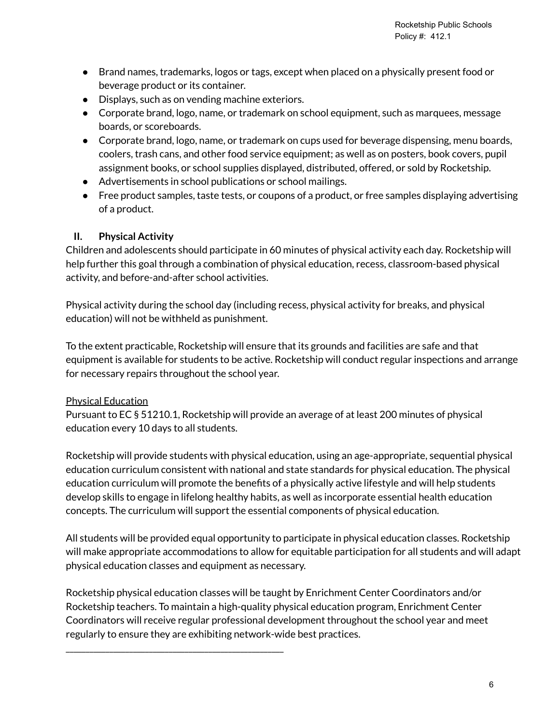- Brand names, trademarks, logos or tags, except when placed on a physically present food or beverage product or its container.
- Displays, such as on vending machine exteriors.
- Corporate brand, logo, name, or trademark on school equipment, such as marquees, message boards, or scoreboards.
- Corporate brand, logo, name, or trademark on cups used for beverage dispensing, menu boards, coolers, trash cans, and other food service equipment; as well as on posters, book covers, pupil assignment books, or school supplies displayed, distributed, offered, or sold by Rocketship.
- Advertisements in school publications or school mailings.
- Free product samples, taste tests, or coupons of a product, or free samples displaying advertising of a product.

## **II. Physical Activity**

Children and adolescents should participate in 60 minutes of physical activity each day. Rocketship will help further this goal through a combination of physical education, recess, classroom-based physical activity, and before-and-after school activities.

Physical activity during the school day (including recess, physical activity for breaks, and physical education) will not be withheld as punishment.

To the extent practicable, Rocketship will ensure that its grounds and facilities are safe and that equipment is available for students to be active. Rocketship will conduct regular inspections and arrange for necessary repairs throughout the school year.

## Physical Education

Pursuant to EC § 51210.1, Rocketship will provide an average of at least 200 minutes of physical education every 10 days to all students.

Rocketship will provide students with physical education, using an age-appropriate, sequential physical education curriculum consistent with national and state standards for physical education. The physical education curriculum will promote the benefits of a physically active lifestyle and will help students develop skills to engage in lifelong healthy habits, as well as incorporate essential health education concepts. The curriculum will support the essential components of physical education.

All students will be provided equal opportunity to participate in physical education classes. Rocketship will make appropriate accommodations to allow for equitable participation for all students and will adapt physical education classes and equipment as necessary.

Rocketship physical education classes will be taught by Enrichment Center Coordinators and/or Rocketship teachers. To maintain a high-quality physical education program, Enrichment Center Coordinators will receive regular professional development throughout the school year and meet regularly to ensure they are exhibiting network-wide best practices.

\_\_\_\_\_\_\_\_\_\_\_\_\_\_\_\_\_\_\_\_\_\_\_\_\_\_\_\_\_\_\_\_\_\_\_\_\_\_\_\_\_\_\_\_\_\_\_\_\_\_\_\_\_\_\_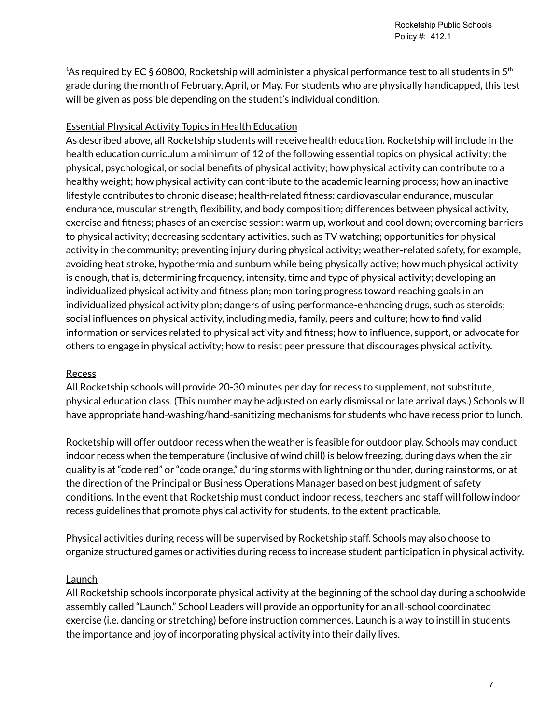<sup>1</sup>As required by EC § 60800, Rocketship will administer a physical performance test to all students in 5<sup>th</sup> grade during the month of February, April, or May. For students who are physically handicapped, this test will be given as possible depending on the student's individual condition.

#### Essential Physical Activity Topics in Health Education

As described above, all Rocketship students will receive health education. Rocketship will include in the health education curriculum a minimum of 12 of the following essential topics on physical activity: the physical, psychological, or social benefits of physical activity; how physical activity can contribute to a healthy weight; how physical activity can contribute to the academic learning process; how an inactive lifestyle contributes to chronic disease; health-related fitness: cardiovascular endurance, muscular endurance, muscular strength, flexibility, and body composition; differences between physical activity, exercise and fitness; phases of an exercise session: warm up, workout and cool down; overcoming barriers to physical activity; decreasing sedentary activities, such as TV watching; opportunities for physical activity in the community; preventing injury during physical activity; weather-related safety, for example, avoiding heat stroke, hypothermia and sunburn while being physically active; how much physical activity is enough, that is, determining frequency, intensity, time and type of physical activity; developing an individualized physical activity and fitness plan; monitoring progress toward reaching goals in an individualized physical activity plan; dangers of using performance-enhancing drugs, such as steroids; social influences on physical activity, including media, family, peers and culture; how to find valid information or services related to physical activity and fitness; how to influence, support, or advocate for others to engage in physical activity; how to resist peer pressure that discourages physical activity.

#### **Recess**

All Rocketship schools will provide 20-30 minutes per day for recess to supplement, not substitute, physical education class. (This number may be adjusted on early dismissal or late arrival days.) Schools will have appropriate hand-washing/hand-sanitizing mechanisms for students who have recess prior to lunch.

Rocketship will offer outdoor recess when the weather is feasible for outdoor play. Schools may conduct indoor recess when the temperature (inclusive of wind chill) is below freezing, during days when the air quality is at "code red" or "code orange," during storms with lightning or thunder, during rainstorms, or at the direction of the Principal or Business Operations Manager based on best judgment of safety conditions. In the event that Rocketship must conduct indoor recess, teachers and staff will follow indoor recess guidelines that promote physical activity for students, to the extent practicable.

Physical activities during recess will be supervised by Rocketship staff. Schools may also choose to organize structured games or activities during recess to increase student participation in physical activity.

#### **Launch**

All Rocketship schools incorporate physical activity at the beginning of the school day during a schoolwide assembly called "Launch." School Leaders will provide an opportunity for an all-school coordinated exercise (i.e. dancing or stretching) before instruction commences. Launch is a way to instill in students the importance and joy of incorporating physical activity into their daily lives.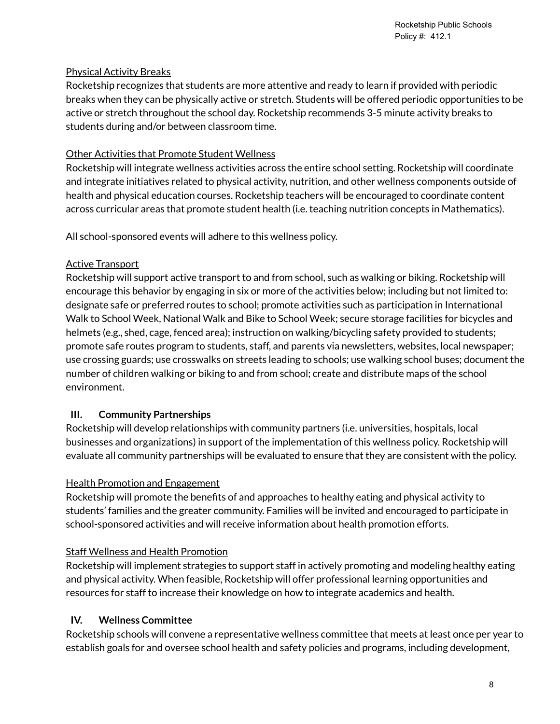#### Physical Activity Breaks

Rocketship recognizes that students are more attentive and ready to learn if provided with periodic breaks when they can be physically active or stretch. Students will be offered periodic opportunities to be active or stretch throughout the school day. Rocketship recommends 3-5 minute activity breaks to students during and/or between classroom time.

### Other Activities that Promote Student Wellness

Rocketship will integrate wellness activities across the entire school setting. Rocketship will coordinate and integrate initiatives related to physical activity, nutrition, and other wellness components outside of health and physical education courses. Rocketship teachers will be encouraged to coordinate content across curricular areas that promote student health (i.e. teaching nutrition concepts in Mathematics).

All school-sponsored events will adhere to this wellness policy.

## Active Transport

Rocketship will support active transport to and from school, such as walking or biking. Rocketship will encourage this behavior by engaging in six or more of the activities below; including but not limited to: designate safe or preferred routes to school; promote activities such as participation in International Walk to School Week, National Walk and Bike to School Week; secure storage facilities for bicycles and helmets (e.g., shed, cage, fenced area); instruction on walking/bicycling safety provided to students; promote safe routes program to students, staff, and parents via newsletters, websites, local newspaper; use crossing guards; use crosswalks on streets leading to schools; use walking school buses; document the number of children walking or biking to and from school; create and distribute maps of the school environment.

## **III. Community Partnerships**

Rocketship will develop relationships with community partners (i.e. universities, hospitals, local businesses and organizations) in support of the implementation of this wellness policy. Rocketship will evaluate all community partnerships will be evaluated to ensure that they are consistent with the policy.

#### Health Promotion and Engagement

Rocketship will promote the benefits of and approaches to healthy eating and physical activity to students' families and the greater community. Families will be invited and encouraged to participate in school-sponsored activities and will receive information about health promotion efforts.

## Staff Wellness and Health Promotion

Rocketship will implement strategies to support staff in actively promoting and modeling healthy eating and physical activity. When feasible, Rocketship will offer professional learning opportunities and resources for staff to increase their knowledge on how to integrate academics and health.

#### **IV. Wellness Committee**

Rocketship schools will convene a representative wellness committee that meets at least once per year to establish goals for and oversee school health and safety policies and programs, including development,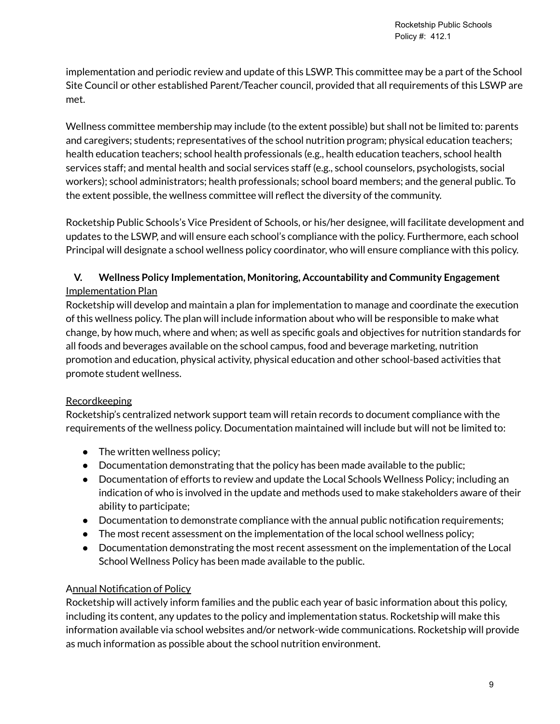implementation and periodic review and update of this LSWP. This committee may be a part of the School Site Council or other established Parent/Teacher council, provided that all requirements of this LSWP are met.

Wellness committee membership may include (to the extent possible) but shall not be limited to: parents and caregivers; students; representatives of the school nutrition program; physical education teachers; health education teachers; school health professionals (e.g., health education teachers, school health services staff; and mental health and social services staff (e.g., school counselors, psychologists, social workers); school administrators; health professionals; school board members; and the general public. To the extent possible, the wellness committee will reflect the diversity of the community.

Rocketship Public Schools's Vice President of Schools, or his/her designee, will facilitate development and updates to the LSWP, and will ensure each school's compliance with the policy. Furthermore, each school Principal will designate a school wellness policy coordinator, who will ensure compliance with this policy.

## **V. Wellness Policy Implementation, Monitoring, Accountability and Community Engagement** Implementation Plan

Rocketship will develop and maintain a plan for implementation to manage and coordinate the execution of this wellness policy. The plan will include information about who will be responsible to make what change, by how much, where and when; as well as specific goals and objectives for nutrition standards for all foods and beverages available on the school campus, food and beverage marketing, nutrition promotion and education, physical activity, physical education and other school-based activities that promote student wellness.

## **Recordkeeping**

Rocketship's centralized network support team will retain records to document compliance with the requirements of the wellness policy. Documentation maintained will include but will not be limited to:

- The written wellness policy;
- Documentation demonstrating that the policy has been made available to the public;
- Documentation of efforts to review and update the Local Schools Wellness Policy; including an indication of who is involved in the update and methods used to make stakeholders aware of their ability to participate;
- Documentation to demonstrate compliance with the annual public notification requirements;
- The most recent assessment on the implementation of the local school wellness policy;
- Documentation demonstrating the most recent assessment on the implementation of the Local School Wellness Policy has been made available to the public.

## Annual Notification of Policy

Rocketship will actively inform families and the public each year of basic information about this policy, including its content, any updates to the policy and implementation status. Rocketship will make this information available via school websites and/or network-wide communications. Rocketship will provide as much information as possible about the school nutrition environment.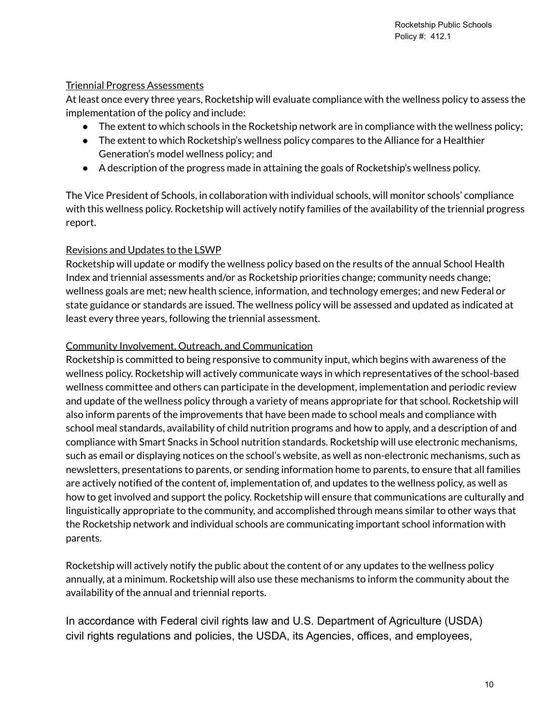#### Triennial Progress Assessments

At least once every three years, Rocketship will evaluate compliance with the wellness policy to assess the implementation of the policy and include:

- The extent to which schools in the Rocketship network are in compliance with the wellness policy;
- The extent to which Rocketship's wellness policy compares to the Alliance for a Healthier Generation's model wellness policy; and
- A description of the progress made in attaining the goals of Rocketship's wellness policy.

The Vice President of Schools, in collaboration with individual schools, will monitor schools' compliance with this wellness policy. Rocketship will actively notify families of the availability of the triennial progress report.

#### Revisions and Updates to the LSWP

Rocketship will update or modify the wellness policy based on the results of the annual School Health Index and triennial assessments and/or as Rocketship priorities change; community needs change; wellness goals are met; new health science, information, and technology emerges; and new Federal or state guidance or standards are issued. The wellness policy will be assessed and updated as indicated at least every three years, following the triennial assessment.

#### Community Involvement, Outreach, and Communication

Rocketship is committed to being responsive to community input, which begins with awareness of the wellness policy. Rocketship will actively communicate ways in which representatives of the school-based wellness committee and others can participate in the development, implementation and periodic review and update of the wellness policy through a variety of means appropriate for that school. Rocketship will also inform parents of the improvements that have been made to school meals and compliance with school meal standards, availability of child nutrition programs and how to apply, and a description of and compliance with Smart Snacks in School nutrition standards. Rocketship will use electronic mechanisms, such as email or displaying notices on the school's website, as well as non-electronic mechanisms, such as newsletters, presentations to parents, or sending information home to parents, to ensure that all families are actively notified of the content of, implementation of, and updates to the wellness policy, as well as how to get involved and support the policy. Rocketship will ensure that communications are culturally and linguistically appropriate to the community, and accomplished through means similar to other ways that the Rocketship network and individual schools are communicating important school information with parents.

Rocketship will actively notify the public about the content of or any updates to the wellness policy annually, at a minimum. Rocketship will also use these mechanisms to inform the community about the availability of the annual and triennial reports.

In accordance with Federal civil rights law and U.S. Department of Agriculture (USDA) civil rights regulations and policies, the USDA, its Agencies, offices, and employees,